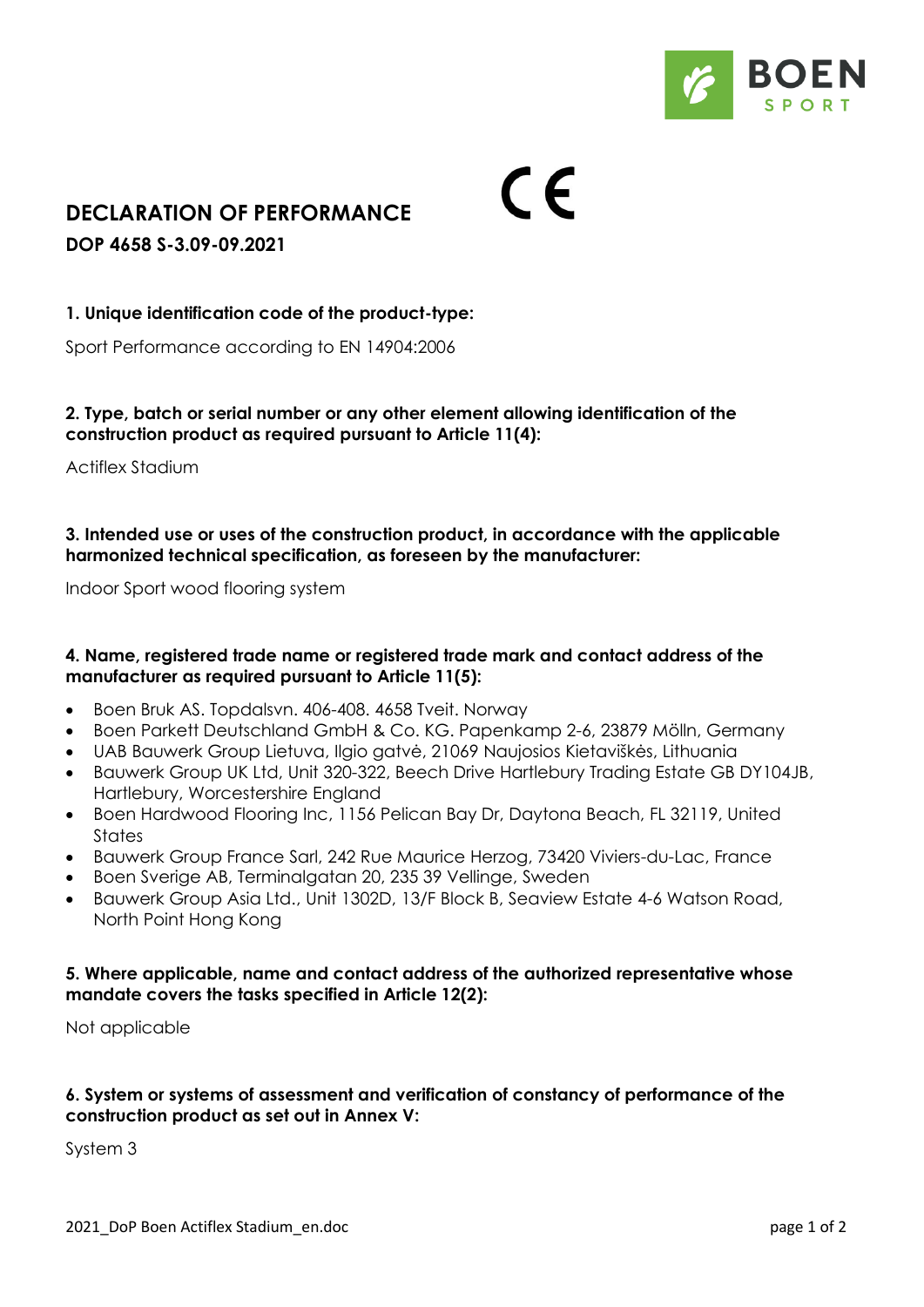

# **DECLARATION OF PERFORMANCE**

**DOP 4658 S-3.09-09.2021**

# **1. Unique identification code of the product-type:**

Sport Performance according to EN 14904:2006

## **2. Type, batch or serial number or any other element allowing identification of the construction product as required pursuant to Article 11(4):**

 $\epsilon$ 

Actiflex Stadium

## **3. Intended use or uses of the construction product, in accordance with the applicable harmonized technical specification, as foreseen by the manufacturer:**

Indoor Sport wood flooring system

## **4. Name, registered trade name or registered trade mark and contact address of the manufacturer as required pursuant to Article 11(5):**

- Boen Bruk AS. Topdalsvn. 406-408. 4658 Tveit. Norway
- Boen Parkett Deutschland GmbH & Co. KG. Papenkamp 2-6, 23879 Mölln, Germany
- UAB Bauwerk Group Lietuva, Ilgio gatvė, 21069 Naujosios Kietaviškės, Lithuania
- Bauwerk Group UK Ltd, Unit 320-322, Beech Drive Hartlebury Trading Estate GB DY104JB, Hartlebury, Worcestershire England
- Boen Hardwood Flooring Inc, 1156 Pelican Bay Dr, Daytona Beach, FL 32119, United **States**
- Bauwerk Group France Sarl, 242 Rue Maurice Herzog, 73420 Viviers-du-Lac, France
- Boen Sverige AB, Terminalgatan 20, 235 39 Vellinge, Sweden
- Bauwerk Group Asia Ltd., Unit 1302D, 13/F Block B, Seaview Estate 4-6 Watson Road, North Point Hong Kong

#### **5. Where applicable, name and contact address of the authorized representative whose mandate covers the tasks specified in Article 12(2):**

Not applicable

## **6. System or systems of assessment and verification of constancy of performance of the construction product as set out in Annex V:**

System 3